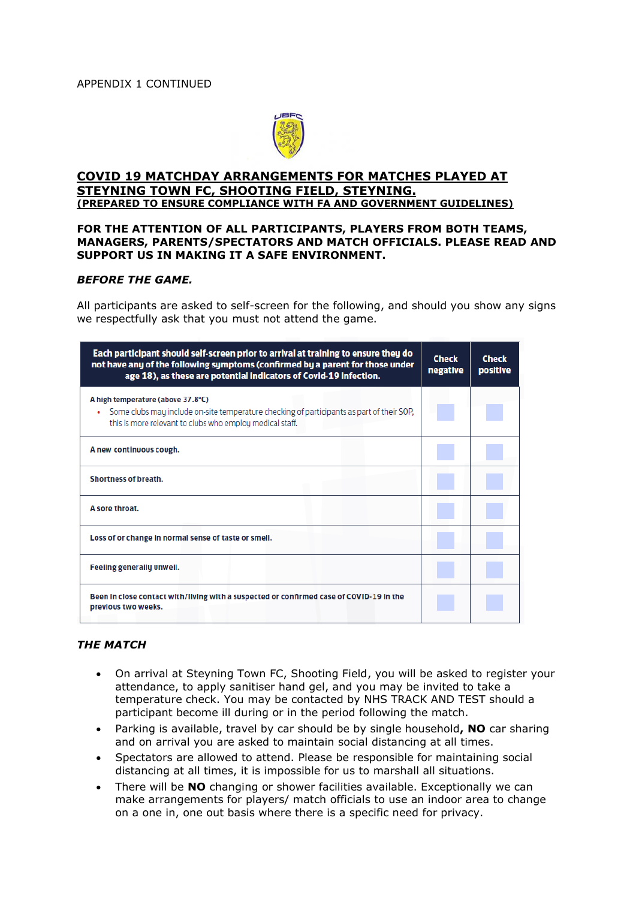

### **COVID 19 MATCHDAY ARRANGEMENTS FOR MATCHES PLAYED AT STEYNING TOWN FC, SHOOTING FIELD, STEYNING. (PREPARED TO ENSURE COMPLIANCE WITH FA AND GOVERNMENT GUIDELINES)**

### **FOR THE ATTENTION OF ALL PARTICIPANTS, PLAYERS FROM BOTH TEAMS, MANAGERS, PARENTS/SPECTATORS AND MATCH OFFICIALS. PLEASE READ AND SUPPORT US IN MAKING IT A SAFE ENVIRONMENT.**

#### *BEFORE THE GAME.*

All participants are asked to self-screen for the following, and should you show any signs we respectfully ask that you must not attend the game.

| Each participant should self-screen prior to arrival at training to ensure they do<br>not have any of the following symptoms (confirmed by a parent for those under<br>age 18), as these are potential indicators of Covid-19 infection. | <b>Check</b><br>negative | <b>Check</b><br>positive |
|------------------------------------------------------------------------------------------------------------------------------------------------------------------------------------------------------------------------------------------|--------------------------|--------------------------|
| A high temperature (above 37.8°C)<br>Some clubs may include on-site temperature checking of participants as part of their SOP,<br>this is more relevant to clubs who employ medical staff.                                               |                          |                          |
| A new continuous cough.                                                                                                                                                                                                                  |                          |                          |
| Shortness of breath.                                                                                                                                                                                                                     |                          |                          |
| A sore throat.                                                                                                                                                                                                                           |                          |                          |
| Loss of or change in normal sense of taste or smell.                                                                                                                                                                                     |                          |                          |
| Feeling generally unwell.                                                                                                                                                                                                                |                          |                          |
| Been in close contact with/living with a suspected or confirmed case of COVID-19 in the<br>previous two weeks.                                                                                                                           |                          |                          |

# *THE MATCH*

- On arrival at Steyning Town FC, Shooting Field, you will be asked to register your attendance, to apply sanitiser hand gel, and you may be invited to take a temperature check. You may be contacted by NHS TRACK AND TEST should a participant become ill during or in the period following the match.
- Parking is available, travel by car should be by single household**, NO** car sharing and on arrival you are asked to maintain social distancing at all times.
- Spectators are allowed to attend. Please be responsible for maintaining social distancing at all times, it is impossible for us to marshall all situations.
- There will be **NO** changing or shower facilities available. Exceptionally we can make arrangements for players/ match officials to use an indoor area to change on a one in, one out basis where there is a specific need for privacy.